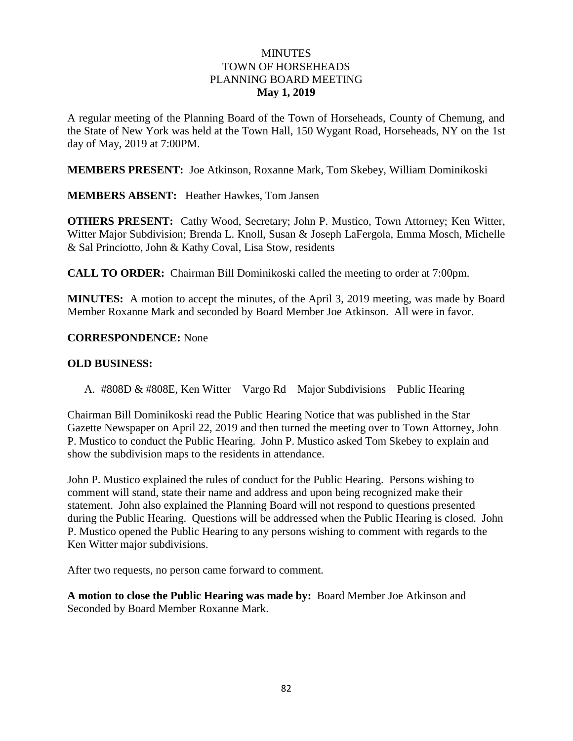## **MINUTES** TOWN OF HORSEHEADS PLANNING BOARD MEETING **May 1, 2019**

A regular meeting of the Planning Board of the Town of Horseheads, County of Chemung, and the State of New York was held at the Town Hall, 150 Wygant Road, Horseheads, NY on the 1st day of May, 2019 at 7:00PM.

**MEMBERS PRESENT:** Joe Atkinson, Roxanne Mark, Tom Skebey, William Dominikoski

**MEMBERS ABSENT:** Heather Hawkes, Tom Jansen

**OTHERS PRESENT:** Cathy Wood, Secretary; John P. Mustico, Town Attorney; Ken Witter, Witter Major Subdivision; Brenda L. Knoll, Susan & Joseph LaFergola, Emma Mosch, Michelle & Sal Princiotto, John & Kathy Coval, Lisa Stow, residents

**CALL TO ORDER:** Chairman Bill Dominikoski called the meeting to order at 7:00pm.

**MINUTES:** A motion to accept the minutes, of the April 3, 2019 meeting, was made by Board Member Roxanne Mark and seconded by Board Member Joe Atkinson. All were in favor.

### **CORRESPONDENCE:** None

### **OLD BUSINESS:**

A. #808D & #808E, Ken Witter – Vargo Rd – Major Subdivisions – Public Hearing

Chairman Bill Dominikoski read the Public Hearing Notice that was published in the Star Gazette Newspaper on April 22, 2019 and then turned the meeting over to Town Attorney, John P. Mustico to conduct the Public Hearing. John P. Mustico asked Tom Skebey to explain and show the subdivision maps to the residents in attendance.

John P. Mustico explained the rules of conduct for the Public Hearing. Persons wishing to comment will stand, state their name and address and upon being recognized make their statement. John also explained the Planning Board will not respond to questions presented during the Public Hearing. Questions will be addressed when the Public Hearing is closed. John P. Mustico opened the Public Hearing to any persons wishing to comment with regards to the Ken Witter major subdivisions.

After two requests, no person came forward to comment.

**A motion to close the Public Hearing was made by:** Board Member Joe Atkinson and Seconded by Board Member Roxanne Mark.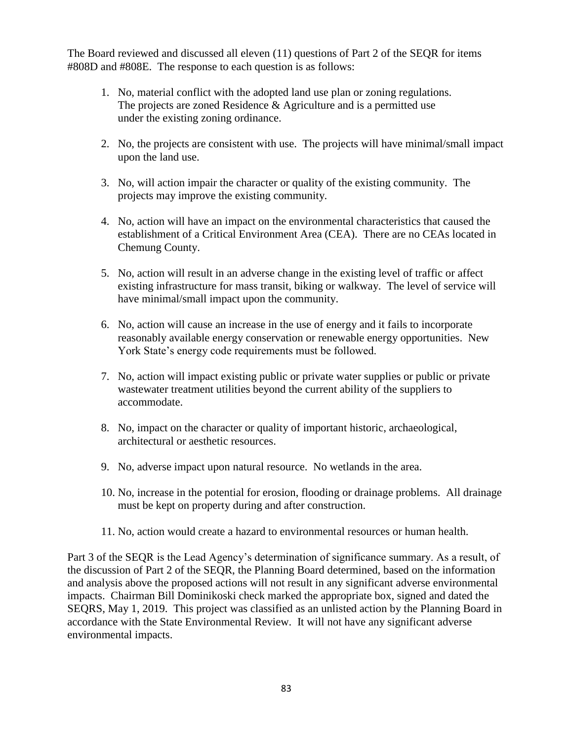The Board reviewed and discussed all eleven (11) questions of Part 2 of the SEQR for items #808D and #808E. The response to each question is as follows:

- 1. No, material conflict with the adopted land use plan or zoning regulations. The projects are zoned Residence & Agriculture and is a permitted use under the existing zoning ordinance.
- 2. No, the projects are consistent with use. The projects will have minimal/small impact upon the land use.
- 3. No, will action impair the character or quality of the existing community. The projects may improve the existing community.
- 4. No, action will have an impact on the environmental characteristics that caused the establishment of a Critical Environment Area (CEA). There are no CEAs located in Chemung County.
- 5. No, action will result in an adverse change in the existing level of traffic or affect existing infrastructure for mass transit, biking or walkway. The level of service will have minimal/small impact upon the community.
- 6. No, action will cause an increase in the use of energy and it fails to incorporate reasonably available energy conservation or renewable energy opportunities. New York State's energy code requirements must be followed.
- 7. No, action will impact existing public or private water supplies or public or private wastewater treatment utilities beyond the current ability of the suppliers to accommodate.
- 8. No, impact on the character or quality of important historic, archaeological, architectural or aesthetic resources.
- 9. No, adverse impact upon natural resource. No wetlands in the area.
- 10. No, increase in the potential for erosion, flooding or drainage problems. All drainage must be kept on property during and after construction.
- 11. No, action would create a hazard to environmental resources or human health.

Part 3 of the SEQR is the Lead Agency's determination of significance summary. As a result, of the discussion of Part 2 of the SEQR, the Planning Board determined, based on the information and analysis above the proposed actions will not result in any significant adverse environmental impacts. Chairman Bill Dominikoski check marked the appropriate box, signed and dated the SEQRS, May 1, 2019. This project was classified as an unlisted action by the Planning Board in accordance with the State Environmental Review. It will not have any significant adverse environmental impacts.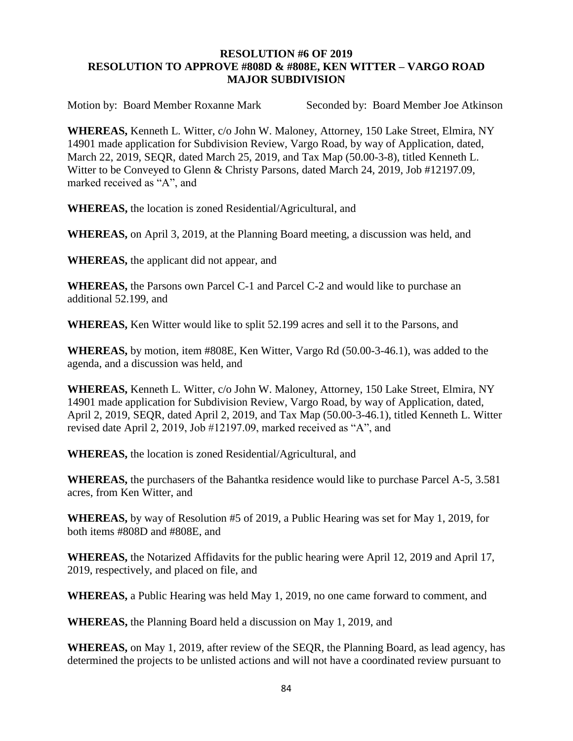## **RESOLUTION #6 OF 2019 RESOLUTION TO APPROVE #808D & #808E, KEN WITTER – VARGO ROAD MAJOR SUBDIVISION**

Motion by: Board Member Roxanne Mark Seconded by: Board Member Joe Atkinson

**WHEREAS,** Kenneth L. Witter, c/o John W. Maloney, Attorney, 150 Lake Street, Elmira, NY 14901 made application for Subdivision Review, Vargo Road, by way of Application, dated, March 22, 2019, SEQR, dated March 25, 2019, and Tax Map (50.00-3-8), titled Kenneth L. Witter to be Conveyed to Glenn & Christy Parsons, dated March 24, 2019, Job #12197.09, marked received as "A", and

**WHEREAS,** the location is zoned Residential/Agricultural, and

**WHEREAS,** on April 3, 2019, at the Planning Board meeting, a discussion was held, and

**WHEREAS,** the applicant did not appear, and

**WHEREAS,** the Parsons own Parcel C-1 and Parcel C-2 and would like to purchase an additional 52.199, and

**WHEREAS,** Ken Witter would like to split 52.199 acres and sell it to the Parsons, and

**WHEREAS,** by motion, item #808E, Ken Witter, Vargo Rd (50.00-3-46.1), was added to the agenda, and a discussion was held, and

**WHEREAS,** Kenneth L. Witter, c/o John W. Maloney, Attorney, 150 Lake Street, Elmira, NY 14901 made application for Subdivision Review, Vargo Road, by way of Application, dated, April 2, 2019, SEQR, dated April 2, 2019, and Tax Map (50.00-3-46.1), titled Kenneth L. Witter revised date April 2, 2019, Job #12197.09, marked received as "A", and

**WHEREAS,** the location is zoned Residential/Agricultural, and

**WHEREAS,** the purchasers of the Bahantka residence would like to purchase Parcel A-5, 3.581 acres, from Ken Witter, and

**WHEREAS,** by way of Resolution #5 of 2019, a Public Hearing was set for May 1, 2019, for both items #808D and #808E, and

**WHEREAS,** the Notarized Affidavits for the public hearing were April 12, 2019 and April 17, 2019, respectively, and placed on file, and

**WHEREAS,** a Public Hearing was held May 1, 2019, no one came forward to comment, and

**WHEREAS,** the Planning Board held a discussion on May 1, 2019, and

**WHEREAS,** on May 1, 2019, after review of the SEQR, the Planning Board, as lead agency, has determined the projects to be unlisted actions and will not have a coordinated review pursuant to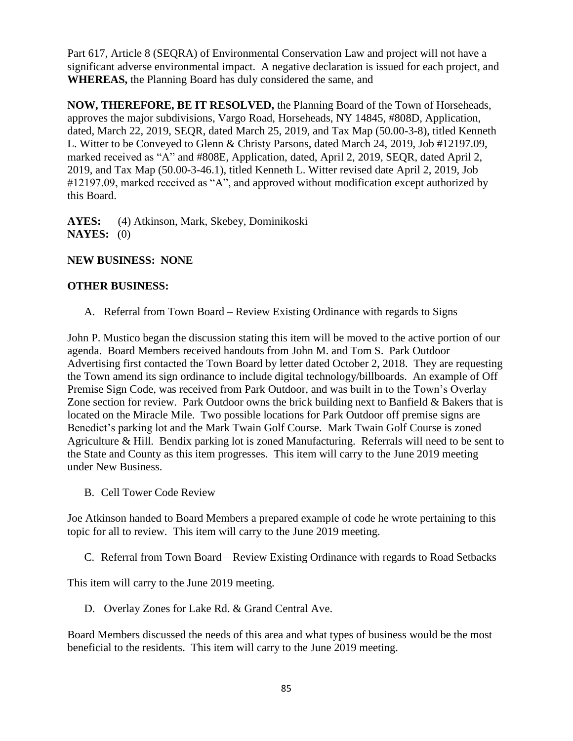Part 617, Article 8 (SEQRA) of Environmental Conservation Law and project will not have a significant adverse environmental impact. A negative declaration is issued for each project, and **WHEREAS,** the Planning Board has duly considered the same, and

**NOW, THEREFORE, BE IT RESOLVED,** the Planning Board of the Town of Horseheads, approves the major subdivisions, Vargo Road, Horseheads, NY 14845, #808D, Application, dated, March 22, 2019, SEQR, dated March 25, 2019, and Tax Map (50.00-3-8), titled Kenneth L. Witter to be Conveyed to Glenn & Christy Parsons, dated March 24, 2019, Job #12197.09, marked received as "A" and #808E, Application, dated, April 2, 2019, SEQR, dated April 2, 2019, and Tax Map (50.00-3-46.1), titled Kenneth L. Witter revised date April 2, 2019, Job #12197.09, marked received as "A", and approved without modification except authorized by this Board.

**AYES:** (4) Atkinson, Mark, Skebey, Dominikoski **NAYES:** (0)

# **NEW BUSINESS: NONE**

## **OTHER BUSINESS:**

A. Referral from Town Board – Review Existing Ordinance with regards to Signs

John P. Mustico began the discussion stating this item will be moved to the active portion of our agenda. Board Members received handouts from John M. and Tom S. Park Outdoor Advertising first contacted the Town Board by letter dated October 2, 2018. They are requesting the Town amend its sign ordinance to include digital technology/billboards. An example of Off Premise Sign Code, was received from Park Outdoor, and was built in to the Town's Overlay Zone section for review. Park Outdoor owns the brick building next to Banfield  $\&$  Bakers that is located on the Miracle Mile. Two possible locations for Park Outdoor off premise signs are Benedict's parking lot and the Mark Twain Golf Course. Mark Twain Golf Course is zoned Agriculture & Hill. Bendix parking lot is zoned Manufacturing. Referrals will need to be sent to the State and County as this item progresses. This item will carry to the June 2019 meeting under New Business.

B. Cell Tower Code Review

Joe Atkinson handed to Board Members a prepared example of code he wrote pertaining to this topic for all to review. This item will carry to the June 2019 meeting.

C. Referral from Town Board – Review Existing Ordinance with regards to Road Setbacks

This item will carry to the June 2019 meeting.

D. Overlay Zones for Lake Rd. & Grand Central Ave.

Board Members discussed the needs of this area and what types of business would be the most beneficial to the residents. This item will carry to the June 2019 meeting.